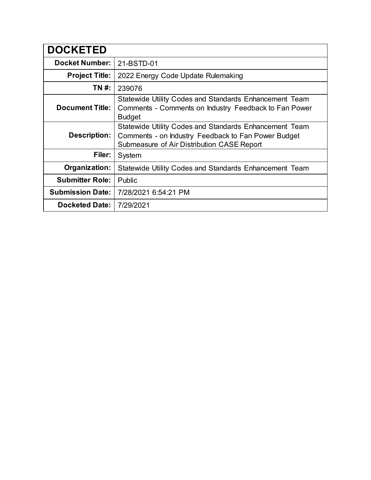| <b>DOCKETED</b>         |                                                                                                                                                             |
|-------------------------|-------------------------------------------------------------------------------------------------------------------------------------------------------------|
| <b>Docket Number:</b>   | 21-BSTD-01                                                                                                                                                  |
| <b>Project Title:</b>   | 2022 Energy Code Update Rulemaking                                                                                                                          |
| TN #:                   | 239076                                                                                                                                                      |
| <b>Document Title:</b>  | Statewide Utility Codes and Standards Enhancement Team<br>Comments - Comments on Industry Feedback to Fan Power<br><b>Budget</b>                            |
| Description:            | Statewide Utility Codes and Standards Enhancement Team<br>Comments - on Industry Feedback to Fan Power Budget<br>Submeasure of Air Distribution CASE Report |
| Filer:                  | System                                                                                                                                                      |
| Organization:           | Statewide Utility Codes and Standards Enhancement Team                                                                                                      |
| <b>Submitter Role:</b>  | Public                                                                                                                                                      |
| <b>Submission Date:</b> | 7/28/2021 6:54:21 PM                                                                                                                                        |
| <b>Docketed Date:</b>   | 7/29/2021                                                                                                                                                   |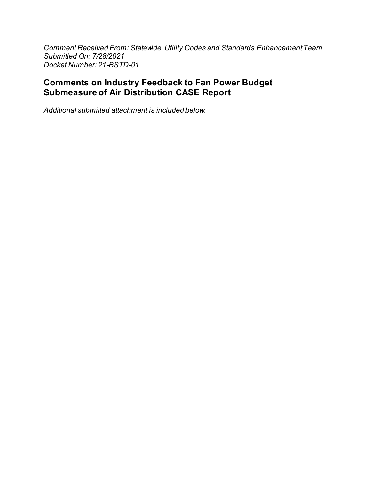Comment Received From: Statewide Utility Codes and Standards Enhancement Team Submitted On: 7/28/2021 Docket Number: 21-BSTD-01

#### **Comments on Industry Feedback to Fan Power Budget Submeasure of Air Distribution CASE Report**

Additional submitted attachment is included below.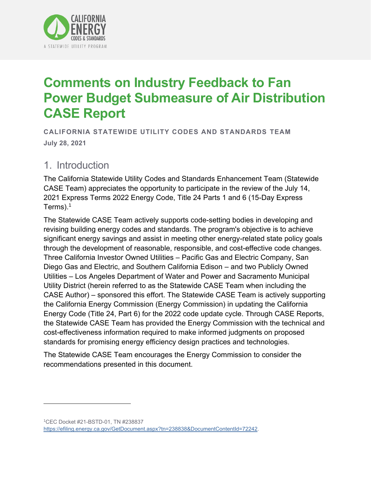

# **Comments on Industry Feedback to Fan Power Budget Submeasure of Air Distribution CASE Report**

**CALIFORNIA STATEWIDE UTILITY CODES AND STANDARDS TEAM July 28, 2021**

### 1. Introduction

The California Statewide Utility Codes and Standards Enhancement Team (Statewide CASE Team) appreciates the opportunity to participate in the review of the July 14, 2021 Express Terms 2022 Energy Code, Title 24 Parts 1 and 6 (15-Day Express Terms). 1

The Statewide CASE Team actively supports code-setting bodies in developing and revising building energy codes and standards. The program's objective is to achieve significant energy savings and assist in meeting other energy-related state policy goals through the development of reasonable, responsible, and cost-effective code changes. Three California Investor Owned Utilities – Pacific Gas and Electric Company, San Diego Gas and Electric, and Southern California Edison – and two Publicly Owned Utilities – Los Angeles Department of Water and Power and Sacramento Municipal Utility District (herein referred to as the Statewide CASE Team when including the CASE Author) – sponsored this effort. The Statewide CASE Team is actively supporting the California Energy Commission (Energy Commission) in updating the California Energy Code (Title 24, Part 6) for the 2022 code update cycle. Through CASE Reports, the Statewide CASE Team has provided the Energy Commission with the technical and cost-effectiveness information required to make informed judgments on proposed standards for promising energy efficiency design practices and technologies.

The Statewide CASE Team encourages the Energy Commission to consider the recommendations presented in this document.

<sup>1</sup>CEC Docket #21-BSTD-01, TN #238837 [https://efiling.energy.ca.gov/GetDocument.aspx?tn=238838&DocumentContentId=72242.](https://efiling.energy.ca.gov/GetDocument.aspx?tn=238838&DocumentContentId=72242)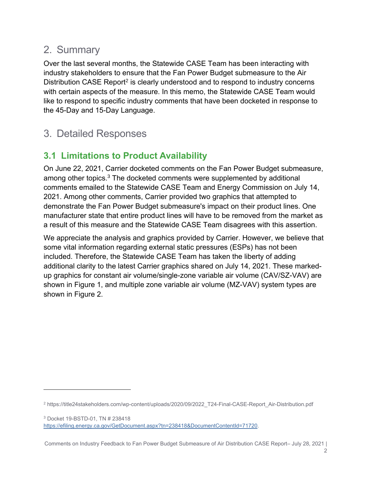# 2. Summary

Over the last several months, the Statewide CASE Team has been interacting with industry stakeholders to ensure that the Fan Power Budget submeasure to the Air Distribution CASE Report<sup>2</sup> is clearly understood and to respond to industry concerns with certain aspects of the measure. In this memo, the Statewide CASE Team would like to respond to specific industry comments that have been docketed in response to the 45-Day and 15-Day Language.

# 3. Detailed Responses

# **3.1 Limitations to Product Availability**

On June 22, 2021, Carrier docketed comments on the Fan Power Budget submeasure, among other topics.<sup>3</sup> The docketed comments were supplemented by additional comments emailed to the Statewide CASE Team and Energy Commission on July 14, 2021. Among other comments, Carrier provided two graphics that attempted to demonstrate the Fan Power Budget submeasure's impact on their product lines. One manufacturer state that entire product lines will have to be removed from the market as a result of this measure and the Statewide CASE Team disagrees with this assertion.

We appreciate the analysis and graphics provided by Carrier. However, we believe that some vital information regarding external static pressures (ESPs) has not been included. Therefore, the Statewide CASE Team has taken the liberty of adding additional clarity to the latest Carrier graphics shared on July 14, 2021. These markedup graphics for constant air volume/single-zone variable air volume (CAV/SZ-VAV) are shown in [Figure 1,](#page-4-0) and multiple zone variable air volume (MZ-VAV) system types are shown in Figure 2.

<sup>3</sup> Docket 19-BSTD-01, TN # 238418 [https://efiling.energy.ca.gov/GetDocument.aspx?tn=238418&DocumentContentId=71720.](https://efiling.energy.ca.gov/GetDocument.aspx?tn=238418&DocumentContentId=71720)

Comments on Industry Feedback to Fan Power Budget Submeasure of Air Distribution CASE Report– July 28, 2021 |

<sup>2</sup> https://title24stakeholders.com/wp-content/uploads/2020/09/2022\_T24-Final-CASE-Report\_Air-Distribution.pdf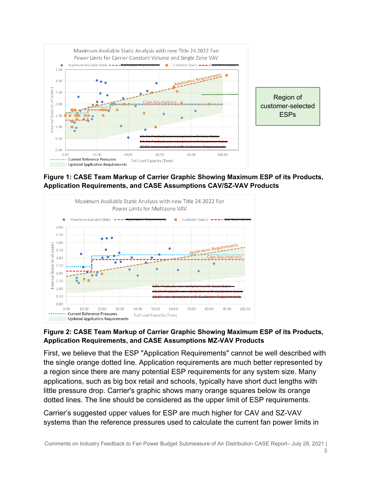

<span id="page-4-0"></span>**Figure 1: CASE Team Markup of Carrier Graphic Showing Maximum ESP of its Products, Application Requirements, and CASE Assumptions CAV/SZ-VAV Products**



#### <span id="page-4-1"></span>**Figure 2: CASE Team Markup of Carrier Graphic Showing Maximum ESP of its Products, Application Requirements, and CASE Assumptions MZ-VAV Products**

First, we believe that the ESP "Application Requirements" cannot be well described with the single orange dotted line. Application requirements are much better represented by a region since there are many potential ESP requirements for any system size. Many applications, such as big box retail and schools, typically have short duct lengths with little pressure drop. Carrier's graphic shows many orange squares below its orange dotted lines. The line should be considered as the upper limit of ESP requirements.

Carrier's suggested upper values for ESP are much higher for CAV and SZ-VAV systems than the reference pressures used to calculate the current fan power limits in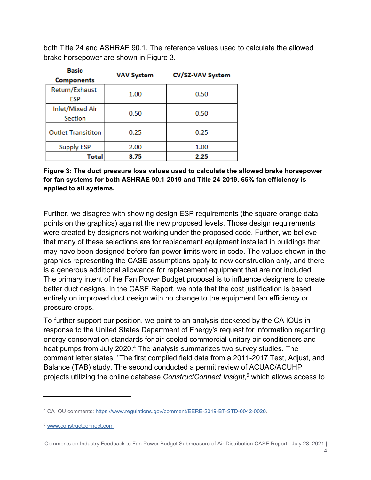both Title 24 and ASHRAE 90.1. The reference values used to calculate the allowed brake horsepower are shown in Figure 3.

| Basic                        | <b>VAV System</b> | CV/SZ-VAV System |
|------------------------------|-------------------|------------------|
| <b>Components</b>            |                   |                  |
| Return/Exhaust<br><b>ESP</b> | 1.00              | 0.50             |
| Inlet/Mixed Air<br>Section   | 0.50              | 0.50             |
| <b>Outlet Transititon</b>    | 0.25              | 0.25             |
| <b>Supply ESP</b>            | 2.00              | 1.00             |
| Total                        | 3.75              | 2.25             |

**Figure 3: The duct pressure loss values used to calculate the allowed brake horsepower for fan systems for both ASHRAE 90.1-2019 and Title 24-2019. 65% fan efficiency is applied to all systems.**

Further, we disagree with showing design ESP requirements (the square orange data points on the graphics) against the new proposed levels. Those design requirements were created by designers not working under the proposed code. Further, we believe that many of these selections are for replacement equipment installed in buildings that may have been designed before fan power limits were in code. The values shown in the graphics representing the CASE assumptions apply to new construction only, and there is a generous additional allowance for replacement equipment that are not included. The primary intent of the Fan Power Budget proposal is to influence designers to create better duct designs. In the CASE Report, we note that the cost justification is based entirely on improved duct design with no change to the equipment fan efficiency or pressure drops.

To further support our position, we point to an analysis docketed by the CA IOUs in response to the United States Department of Energy's request for information regarding energy conservation standards for air-cooled commercial unitary air conditioners and heat pumps from July 2020.<sup>4</sup> The analysis summarizes two survey studies. The comment letter states: "The first compiled field data from a 2011-2017 Test, Adjust, and Balance (TAB) study. The second conducted a permit review of ACUAC/ACUHP projects utilizing the online database *ConstructConnect Insight*, <sup>5</sup> which allows access to

Comments on Industry Feedback to Fan Power Budget Submeasure of Air Distribution CASE Report– July 28, 2021 |

<sup>4</sup> CA IOU comments: [https://www.regulations.gov/comment/EERE-2019-BT-STD-0042-0020.](https://www.regulations.gov/comment/EERE-2019-BT-STD-0042-0020)

<sup>5</sup> [www.constructconnect.com.](http://www.constructconnect.com/)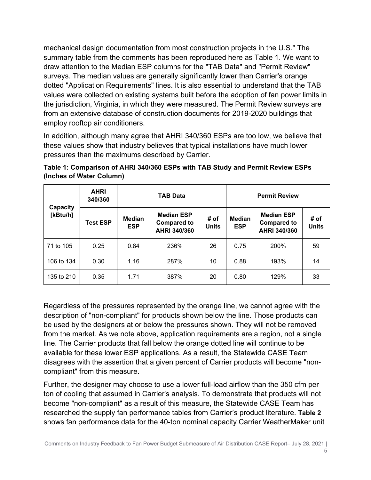mechanical design documentation from most construction projects in the U.S." The summary table from the comments has been reproduced here as [Table 1.](#page-6-0) We want to draw attention to the Median ESP columns for the "TAB Data" and "Permit Review" surveys. The median values are generally significantly lower than Carrier's orange dotted "Application Requirements" lines. It is also essential to understand that the TAB values were collected on existing systems built before the adoption of fan power limits in the jurisdiction, Virginia, in which they were measured. The Permit Review surveys are from an extensive database of construction documents for 2019-2020 buildings that employ rooftop air conditioners.

In addition, although many agree that AHRI 340/360 ESPs are too low, we believe that these values show that industry believes that typical installations have much lower pressures than the maximums described by Carrier.

| Capacity   | <b>AHRI</b><br>340/360 | <b>TAB Data</b>             |                                                         |                      | <b>Permit Review</b>        |                                                         |                      |  |
|------------|------------------------|-----------------------------|---------------------------------------------------------|----------------------|-----------------------------|---------------------------------------------------------|----------------------|--|
| [kBtu/h]   | <b>Test ESP</b>        | <b>Median</b><br><b>ESP</b> | <b>Median ESP</b><br><b>Compared to</b><br>AHRI 340/360 | # of<br><b>Units</b> | <b>Median</b><br><b>ESP</b> | <b>Median ESP</b><br><b>Compared to</b><br>AHRI 340/360 | # of<br><b>Units</b> |  |
| 71 to 105  | 0.25                   | 0.84                        | 236%                                                    | 26                   | 0.75                        | 200%                                                    | 59                   |  |
| 106 to 134 | 0.30                   | 1.16                        | 287%                                                    | 10                   | 0.88                        | 193%                                                    | 14                   |  |
| 135 to 210 | 0.35                   | 1.71                        | 387%                                                    | 20                   | 0.80                        | 129%                                                    | 33                   |  |

<span id="page-6-0"></span>

| Table 1: Comparison of AHRI 340/360 ESPs with TAB Study and Permit Review ESPs |  |
|--------------------------------------------------------------------------------|--|
| (Inches of Water Column)                                                       |  |

Regardless of the pressures represented by the orange line, we cannot agree with the description of "non-compliant" for products shown below the line. Those products can be used by the designers at or below the pressures shown. They will not be removed from the market. As we note above, application requirements are a region, not a single line. The Carrier products that fall below the orange dotted line will continue to be available for these lower ESP applications. As a result, the Statewide CASE Team disagrees with the assertion that a given percent of Carrier products will become "noncompliant" from this measure.

Further, the designer may choose to use a lower full-load airflow than the 350 cfm per ton of cooling that assumed in Carrier's analysis. To demonstrate that products will not become "non-compliant" as a result of this measure, the Statewide CASE Team has researched the supply fan performance tables from Carrier's product literature. **[Table 2](#page-7-0)** shows fan performance data for the 40-ton nominal capacity Carrier WeatherMaker unit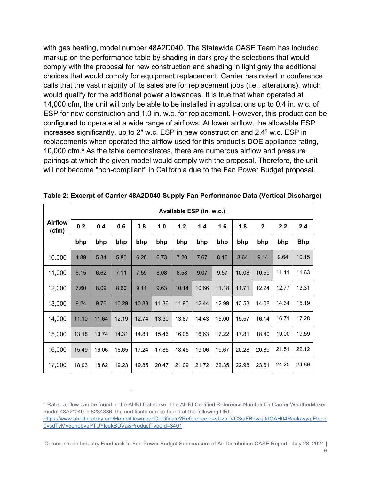with gas heating, model number 48A2D040. The Statewide CASE Team has included markup on the performance table by shading in dark grey the selections that would comply with the proposal for new construction and shading in light grey the additional choices that would comply for equipment replacement. Carrier has noted in conference calls that the vast majority of its sales are for replacement jobs (i.e., alterations), which would qualify for the additional power allowances. It is true that when operated at 14,000 cfm, the unit will only be able to be installed in applications up to 0.4 in. w.c. of ESP for new construction and 1.0 in. w.c. for replacement. However, this product can be configured to operate at a wide range of airflows. At lower airflow, the allowable ESP increases significantly, up to 2" w.c. ESP in new construction and 2.4" w.c. ESP in replacements when operated the airflow used for this product's DOE appliance rating, 10,000 cfm. <sup>6</sup> As the table demonstrates, there are numerous airflow and pressure pairings at which the given model would comply with the proposal. Therefore, the unit will not become "non-compliant" in California due to the Fan Power Budget proposal.

|                         | Available ESP (in. w.c.) |       |       |       |       |       |       |       |       |              |       |            |
|-------------------------|--------------------------|-------|-------|-------|-------|-------|-------|-------|-------|--------------|-------|------------|
| <b>Airflow</b><br>(cfm) | 0.2                      | 0.4   | 0.6   | 0.8   | 1.0   | $1.2$ | 1.4   | 1.6   | 1.8   | $\mathbf{2}$ | 2.2   | 2.4        |
|                         | bhp                      | bhp   | bhp   | bhp   | bhp   | bhp   | bhp   | bhp   | bhp   | bhp          | bhp   | <b>Bhp</b> |
| 10,000                  | 4.89                     | 5.34  | 5.80  | 6.26  | 6.73  | 7.20  | 7.67  | 8.16  | 8.64  | 9.14         | 9.64  | 10.15      |
| 11,000                  | 6.15                     | 6.62  | 7.11  | 7.59  | 8.08  | 8.58  | 9.07  | 9.57  | 10.08 | 10.59        | 11.11 | 11.63      |
| 12,000                  | 7.60                     | 8.09  | 8.60  | 9.11  | 9.63  | 10.14 | 10.66 | 11.18 | 11.71 | 12.24        | 12.77 | 13.31      |
| 13,000                  | 9.24                     | 9.76  | 10.29 | 10.83 | 11.36 | 11.90 | 12.44 | 12.99 | 13.53 | 14.08        | 14.64 | 15.19      |
| 14,000                  | 11.10                    | 11.64 | 12.19 | 12.74 | 13.30 | 13.87 | 14.43 | 15.00 | 15.57 | 16.14        | 16.71 | 17.28      |
| 15,000                  | 13.18                    | 13.74 | 14.31 | 14.88 | 15.46 | 16.05 | 16.63 | 17.22 | 17.81 | 18.40        | 19.00 | 19.59      |
| 16,000                  | 15.49                    | 16.06 | 16.65 | 17.24 | 17.85 | 18.45 | 19.06 | 19.67 | 20.28 | 20.89        | 21.51 | 22.12      |
| 17,000                  | 18.03                    | 18.62 | 19.23 | 19.85 | 20.47 | 21.09 | 21.72 | 22.35 | 22.98 | 23.61        | 24.25 | 24.89      |

<span id="page-7-0"></span>**Table 2: Excerpt of Carrier 48A2D040 Supply Fan Performance Data (Vertical Discharge)**

<sup>6</sup> Rated airflow can be found in the AHRI Database. The AHRI Certified Reference Number for Carrier WeatherMaker model 48A2\*040 is 8234386, the certificate can be found at the following URL: [https://www.ahridirectory.org/Home/DownloadCertificate?ReferenceId=sUzbLVC3/aFB9wkj0dGAH04Rcakasyq/Ftecn](https://www.ahridirectory.org/Home/DownloadCertificate?ReferenceId=sUzbLVC3/aFB9wkj0dGAH04Rcakasyq/Ftecn0vsdTvMy5ohebypPTUYlcqkBDVa&ProductTypeId=3401) [0vsdTvMy5ohebypPTUYlcqkBDVa&ProductTypeId=3401.](https://www.ahridirectory.org/Home/DownloadCertificate?ReferenceId=sUzbLVC3/aFB9wkj0dGAH04Rcakasyq/Ftecn0vsdTvMy5ohebypPTUYlcqkBDVa&ProductTypeId=3401)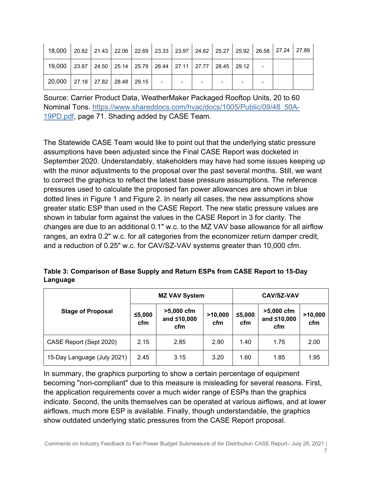| 18,000 20.82 21.43 22.06 22.69 23.33 23.97 24.62 25.27 25.92 26.58 27.24 27.89 |                                                                       |  |  |                          |                |   |  |
|--------------------------------------------------------------------------------|-----------------------------------------------------------------------|--|--|--------------------------|----------------|---|--|
| 19,000                                                                         | 23.87   24.50   25.14   25.79   26.44   27.11   27.77   28.45   29.12 |  |  |                          |                |   |  |
| 20,000   27.18   27.82   28.48   29.15                                         |                                                                       |  |  | $\overline{\phantom{0}}$ | $\blacksquare$ | ۰ |  |

Source: Carrier Product Data, WeatherMaker Packaged Rooftop Units, 20 to 60 Nominal Tons. [https://www.shareddocs.com/hvac/docs/1005/Public/09/48\\_50A-](https://www.shareddocs.com/hvac/docs/1005/Public/09/48_50A-19PD.pdf)[19PD.pdf,](https://www.shareddocs.com/hvac/docs/1005/Public/09/48_50A-19PD.pdf) page 71. Shading added by CASE Team.

The Statewide CASE Team would like to point out that the underlying static pressure assumptions have been adjusted since the Final CASE Report was docketed in September 2020. Understandably, stakeholders may have had some issues keeping up with the minor adjustments to the proposal over the past several months. Still, we want to correct the graphics to reflect the latest base pressure assumptions. The reference pressures used to calculate the proposed fan power allowances are shown in blue dotted lines in [Figure 1](#page-4-0) and [Figure 2.](#page-4-1) In nearly all cases, the new assumptions show greater static ESP than used in the CASE Report. The new static pressure values are shown in tabular form against the values in the CASE Report in 3 for clarity. The changes are due to an additional 0.1" w.c. to the MZ VAV base allowance for all airflow ranges, an extra 0.2" w.c. for all categories from the economizer return damper credit, and a reduction of 0.25" w.c. for CAV/SZ-VAV systems greater than 10,000 cfm.

| Table 3: Comparison of Base Supply and Return ESPs from CASE Report to 15-Day |  |
|-------------------------------------------------------------------------------|--|
| Language                                                                      |  |

|                             |               | <b>MZ VAV System</b>             |                | <b>CAV/SZ-VAV</b> |                                  |                |  |
|-----------------------------|---------------|----------------------------------|----------------|-------------------|----------------------------------|----------------|--|
| <b>Stage of Proposal</b>    | ≤5,000<br>cfm | >5,000 cfm<br>and ≤10,000<br>cfm | >10,000<br>cfm | ≤5,000<br>cfm     | >5,000 cfm<br>and ≤10,000<br>cfm | >10,000<br>cfm |  |
| CASE Report (Sept 2020)     | 2.15          | 2.85                             | 2.90           | 1.40              | 1.75                             | 2.00           |  |
| 15-Day Language (July 2021) | 2.45          | 3.15                             | 3.20           | 1.60              | 1.85                             | 1.95           |  |

In summary, the graphics purporting to show a certain percentage of equipment becoming "non-compliant" due to this measure is misleading for several reasons. First, the application requirements cover a much wider range of ESPs than the graphics indicate. Second, the units themselves can be operated at various airflows, and at lower airflows, much more ESP is available. Finally, though understandable, the graphics show outdated underlying static pressures from the CASE Report proposal.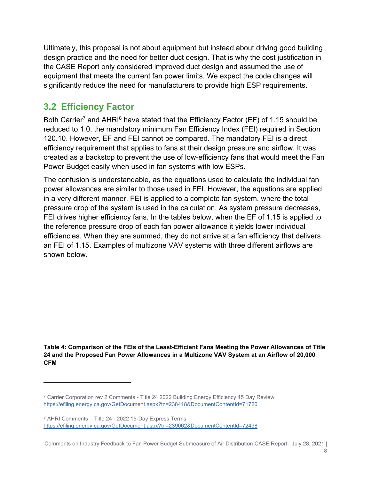Ultimately, this proposal is not about equipment but instead about driving good building design practice and the need for better duct design. That is why the cost justification in the CASE Report only considered improved duct design and assumed the use of equipment that meets the current fan power limits. We expect the code changes will significantly reduce the need for manufacturers to provide high ESP requirements.

### **3.2 Efficiency Factor**

Both Carrier<sup>7</sup> and AHRI<sup>8</sup> have stated that the Efficiency Factor (EF) of 1.15 should be reduced to 1.0, the mandatory minimum Fan Efficiency Index (FEI) required in Section 120.10. However, EF and FEI cannot be compared. The mandatory FEI is a direct efficiency requirement that applies to fans at their design pressure and airflow. It was created as a backstop to prevent the use of low-efficiency fans that would meet the Fan Power Budget easily when used in fan systems with low ESPs.

The confusion is understandable, as the equations used to calculate the individual fan power allowances are similar to those used in FEI. However, the equations are applied in a very different manner. FEI is applied to a complete fan system, where the total pressure drop of the system is used in the calculation. As system pressure decreases, FEI drives higher efficiency fans. In the tables below, when the EF of 1.15 is applied to the reference pressure drop of each fan power allowance it yields lower individual efficiencies. When they are summed, they do not arrive at a fan efficiency that delivers an FEI of 1.15. Examples of multizone VAV systems with three different airflows are shown below.

**Table 4: Comparison of the FEIs of the Least-Efficient Fans Meeting the Power Allowances of Title 24 and the Proposed Fan Power Allowances in a Multizone VAV System at an Airflow of 20,000 CFM**

Comments on Industry Feedback to Fan Power Budget Submeasure of Air Distribution CASE Report– July 28, 2021 |

<sup>7</sup> Carrier Corporation rev 2 Comments - Title 24 2022 Building Energy Efficiency 45 Day Review <https://efiling.energy.ca.gov/GetDocument.aspx?tn=238418&DocumentContentId=71720>

<sup>8</sup> AHRI Comments – Title 24 - 2022 15-Day Express Terms <https://efiling.energy.ca.gov/GetDocument.aspx?tn=239062&DocumentContentId=72498>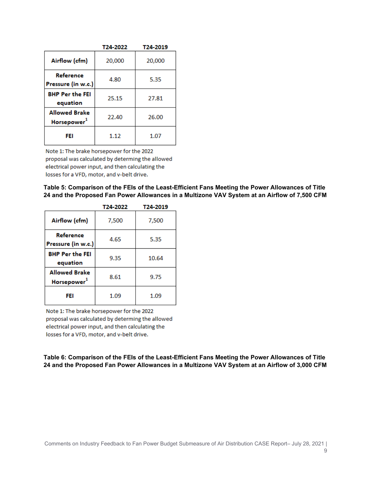|                                                 | T24-2022 | T24-2019 |
|-------------------------------------------------|----------|----------|
| Airflow (cfm)                                   | 20,000   | 20,000   |
| Reference<br>Pressure (in w.c.)                 | 4.80     | 5.35     |
| <b>BHP Per the FEI</b><br>equation              | 25.15    | 27.81    |
| <b>Allowed Brake</b><br>Horsepower <sup>1</sup> | 22.40    | 26.00    |
| FEI                                             | 1.12     | 1.07     |

Note 1: The brake horsepower for the 2022 proposal was calculated by determing the allowed electrical power input, and then calculating the losses for a VFD, motor, and v-belt drive.

**Table 5: Comparison of the FEIs of the Least-Efficient Fans Meeting the Power Allowances of Title 24 and the Proposed Fan Power Allowances in a Multizone VAV System at an Airflow of 7,500 CFM**

|                                                 | T24-2022 | T24-2019 |
|-------------------------------------------------|----------|----------|
| Airflow (cfm)                                   | 7,500    | 7,500    |
| Reference<br>Pressure (in w.c.)                 | 4.65     | 5.35     |
| <b>BHP Per the FEI</b><br>equation              | 9.35     | 10.64    |
| <b>Allowed Brake</b><br>Horsepower <sup>1</sup> | 8.61     | 9.75     |
| FEI                                             | 1.09     | 1.09     |

Note 1: The brake horsepower for the 2022 proposal was calculated by determing the allowed electrical power input, and then calculating the losses for a VFD, motor, and v-belt drive.

**Table 6: Comparison of the FEIs of the Least-Efficient Fans Meeting the Power Allowances of Title 24 and the Proposed Fan Power Allowances in a Multizone VAV System at an Airflow of 3,000 CFM**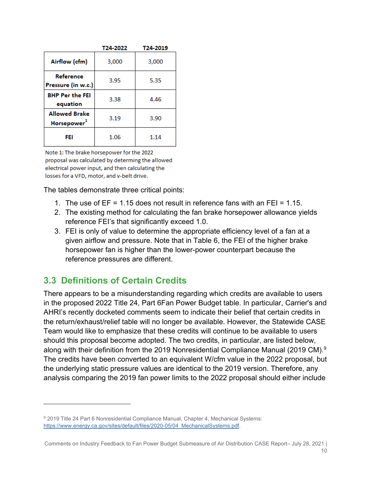|                                                 | T24-2022 | T24-2019 |
|-------------------------------------------------|----------|----------|
| Airflow (cfm)                                   | 3,000    | 3,000    |
| Reference<br>Pressure (in w.c.)                 | 3.95     | 5.35     |
| <b>BHP Per the FEI</b><br>equation              | 3.38     | 4.46     |
| <b>Allowed Brake</b><br>Horsepower <sup>1</sup> | 3.19     | 3.90     |
| FEI                                             | 1.06     | 1.14     |

Note 1: The brake horsepower for the 2022 proposal was calculated by determing the allowed electrical power input, and then calculating the losses for a VFD, motor, and v-belt drive.

The tables demonstrate three critical points:

- 1. The use of EF = 1.15 does not result in reference fans with an FEI = 1.15.
- 2. The existing method for calculating the fan brake horsepower allowance yields reference FEI's that significantly exceed 1.0.
- 3. FEI is only of value to determine the appropriate efficiency level of a fan at a given airflow and pressure. Note that in Table 6, the FEI of the higher brake horsepower fan is higher than the lower-power counterpart because the reference pressures are different.

#### **3.3 Definitions of Certain Credits**

There appears to be a misunderstanding regarding which credits are available to users in the proposed 2022 Title 24, Part 6Fan Power Budget table. In particular, Carrier's and AHRI's recently docketed comments seem to indicate their belief that certain credits in the return/exhaust/relief table will no longer be available. However, the Statewide CASE Team would like to emphasize that these credits will continue to be available to users should this proposal become adopted. The two credits, in particular, are listed below, along with their definition from the 2019 Nonresidential Compliance Manual (2019 CM). 9 The credits have been converted to an equivalent W/cfm value in the 2022 proposal, but the underlying static pressure values are identical to the 2019 version. Therefore, any analysis comparing the 2019 fan power limits to the 2022 proposal should either include

<sup>9</sup> 2019 Title 24 Part 6 Nonresidential Compliance Manual, Chapter 4, Mechanical Systems: [https://www.energy.ca.gov/sites/default/files/2020-05/04\\_MechanicalSystems.pdf.](https://www.energy.ca.gov/sites/default/files/2020-05/04_MechanicalSystems.pdf)